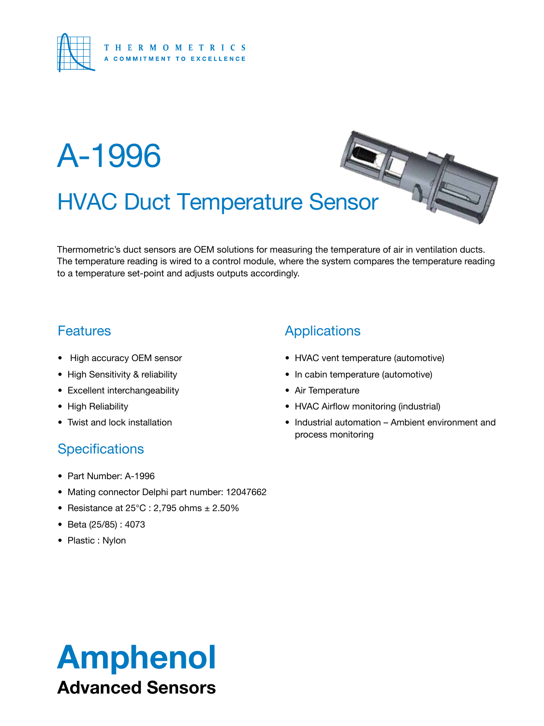

# HVAC Duct Temperature Sensor A-1996

Thermometric's duct sensors are OEM solutions for measuring the temperature of air in ventilation ducts. The temperature reading is wired to a control module, where the system compares the temperature reading to a temperature set-point and adjusts outputs accordingly.

### **Features**

- • High accuracy OEM sensor
- High Sensitivity & reliability
- • Excellent interchangeability
- High Reliability
- Twist and lock installation

#### **Specifications**

- • Part Number: A-1996
- Mating connector Delphi part number: 12047662
- Resistance at  $25^{\circ}$ C : 2,795 ohms  $\pm 2.50\%$
- • Beta (25/85) : 4073
- Plastic : Nylon

### **Applications**

- HVAC vent temperature (automotive)
- In cabin temperature (automotive)
- Air Temperature
- HVAC Airflow monitoring (industrial)
- Industrial automation Ambient environment and process monitoring

 $\sim 4$ 

## Amphenol Advanced Sensors